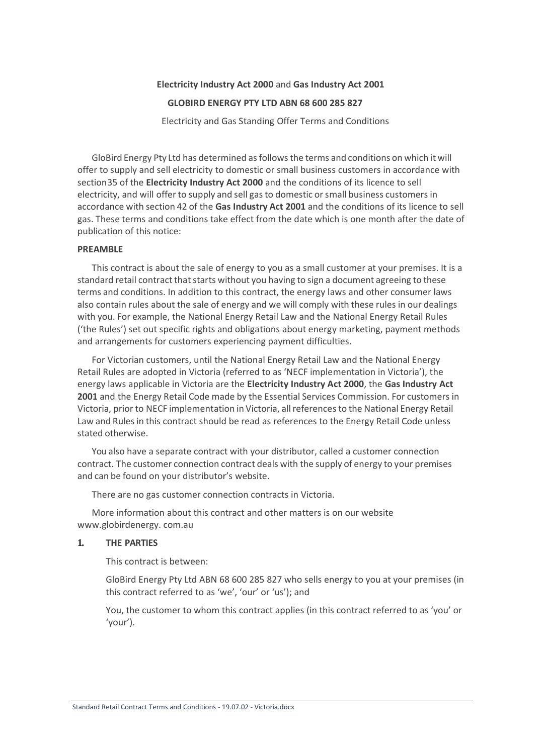# **Electricity Industry Act 2000** and **Gas Industry Act 2001**

#### **GLOBIRD ENERGY PTY LTD ABN 68 600 285 827**

Electricity and Gas Standing Offer Terms and Conditions

GloBird Energy Pty Ltd has determined asfollowsthe terms and conditions on which it will offer to supply and sell electricity to domestic or small business customers in accordance with section35 of the **Electricity Industry Act 2000** and the conditions of its licence to sell electricity, and will offer to supply and sell gasto domestic orsmall business customersin accordance with section 42 of the **Gas Industry Act 2001** and the conditions of its licence to sell gas. These terms and conditions take effect from the date which is one month after the date of publication of this notice:

#### **PREAMBLE**

This contract is about the sale of energy to you as a small customer at your premises. It is a standard retail contract that starts without you having to sign a document agreeing to these terms and conditions. In addition to this contract, the energy laws and other consumer laws also contain rules about the sale of energy and we will comply with these rules in our dealings with you. For example, the National Energy Retail Law and the National Energy Retail Rules ('the Rules') set out specific rights and obligations about energy marketing, payment methods and arrangements for customers experiencing payment difficulties.

For Victorian customers, until the National Energy Retail Law and the National Energy Retail Rules are adopted in Victoria (referred to as 'NECF implementation in Victoria'), the energy laws applicable in Victoria are the **Electricity Industry Act 2000**, the **Gas Industry Act 2001** and the Energy Retail Code made by the Essential Services Commission. For customers in Victoria, prior to NECF implementation in Victoria, allreferencesto the National Energy Retail Law and Rulesin this contract should be read as references to the Energy Retail Code unless stated otherwise.

You also have a separate contract with your distributor, called a customer connection contract. The customer connection contract deals with the supply of energy to your premises and can be found on your distributor's website.

There are no gas customer connection contracts in Victoria.

More information about this contract and other matters is on our website www.globirdenergy. com.au

#### **1. THE PARTIES**

This contract is between:

GloBird Energy Pty Ltd ABN 68 600 285 827 who sells energy to you at your premises (in this contract referred to as 'we', 'our' or 'us'); and

You, the customer to whom this contract applies (in this contract referred to as 'you' or 'your').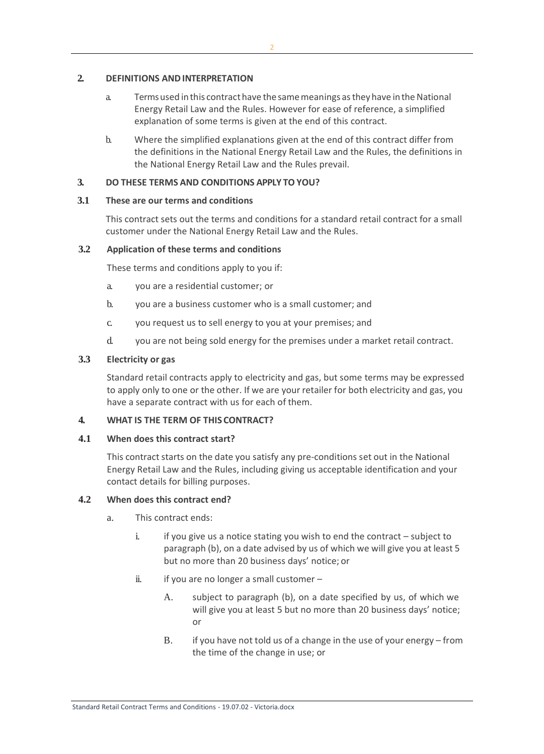### **2. DEFINITIONS ANDINTERPRETATION**

- a. Termsused inthis contracthave the samemeanings astheyhave intheNational Energy Retail Law and the Rules. However for ease of reference, a simplified explanation of some terms is given at the end of this contract.
- b. Where the simplified explanations given at the end of this contract differ from the definitions in the National Energy Retail Law and the Rules, the definitions in the National Energy Retail Law and the Rules prevail.

## **3. DO THESE TERMS AND CONDITIONS APPLY TO YOU?**

### **3.1 These are our terms and conditions**

This contract sets out the terms and conditions for a standard retail contract for a small customer under the National Energy Retail Law and the Rules.

### **3.2 Application of these terms and conditions**

These terms and conditions apply to you if:

- a. you are a residential customer; or
- b. you are a business customer who is a small customer; and
- c. you request us to sell energy to you at your premises; and
- d. you are not being sold energy for the premises under a market retail contract.

### **3.3 Electricity or gas**

Standard retail contracts apply to electricity and gas, but some terms may be expressed to apply only to one or the other. If we are your retailer for both electricity and gas, you have a separate contract with us for each of them.

### **4. WHAT IS THE TERM OF THIS CONTRACT?**

### **4.1 When does this contract start?**

This contract starts on the date you satisfy any pre-conditions set out in the National Energy Retail Law and the Rules, including giving us acceptable identification and your contact details for billing purposes.

### **4.2 When does this contract end?**

- a. This contract ends:
	- i. if you give us a notice stating you wish to end the contract  $-$  subject to paragraph (b), on a date advised by us of which we will give you at least 5 but no more than 20 business days' notice; or
	- ii. if you are no longer a small customer  $-$ 
		- A. subject to paragraph (b), on a date specified by us, of which we will give you at least 5 but no more than 20 business days' notice; or
		- B. if you have not told us of a change in the use of your energy from the time of the change in use; or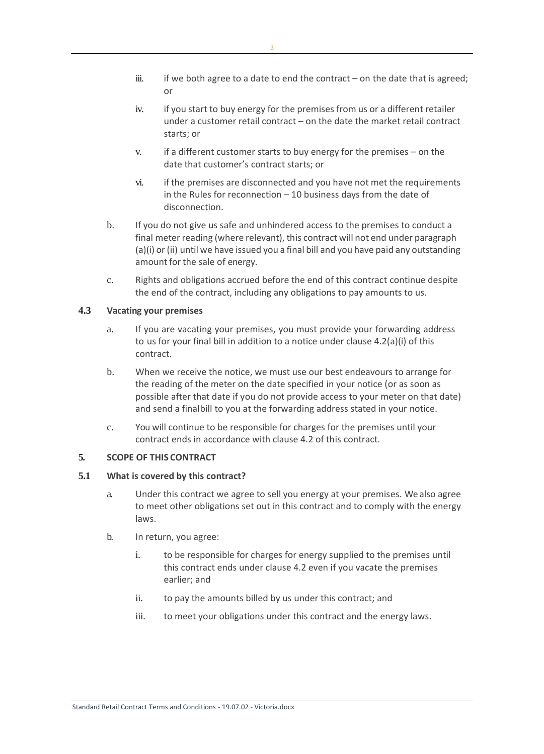- iii. if we both agree to a date to end the contract on the date that is agreed; or
- iv. if you start to buy energy for the premises from us or a different retailer under a customer retail contract – on the date the market retail contract starts; or
- v. if a different customer starts to buy energy for the premises on the date that customer's contract starts; or
- vi. if the premises are disconnected and you have not met the requirements in the Rules for reconnection – 10 business days from the date of disconnection.
- b. If you do not give us safe and unhindered access to the premises to conduct a final meter reading (where relevant), this contract will not end under paragraph (a)(i) or (ii) until we have issued you a final bill and you have paid any outstanding amount for the sale of energy.
- c. Rights and obligations accrued before the end of this contract continue despite the end of the contract, including any obligations to pay amounts to us.

## **4.3 Vacating your premises**

- a. If you are vacating your premises, you must provide your forwarding address to us for your final bill in addition to a notice under clause 4.2(a)(i) of this contract.
- b. When we receive the notice, we must use our best endeavours to arrange for the reading of the meter on the date specified in your notice (or as soon as possible after that date if you do not provide access to your meter on that date) and send a finalbill to you at the forwarding address stated in your notice.
- c. You will continue to be responsible for charges for the premises until your contract ends in accordance with clause 4.2 of this contract.

## **5. SCOPE OF THIS CONTRACT**

#### **5.1 What is covered by this contract?**

- a. Under this contract we agree to sell you energy at your premises. We also agree to meet other obligations set out in this contract and to comply with the energy laws.
- b. In return, you agree:
	- i. to be responsible for charges for energy supplied to the premises until this contract ends under clause 4.2 even if you vacate the premises earlier; and
	- ii. to pay the amounts billed by us under this contract; and
	- iii. to meet your obligations under this contract and the energy laws.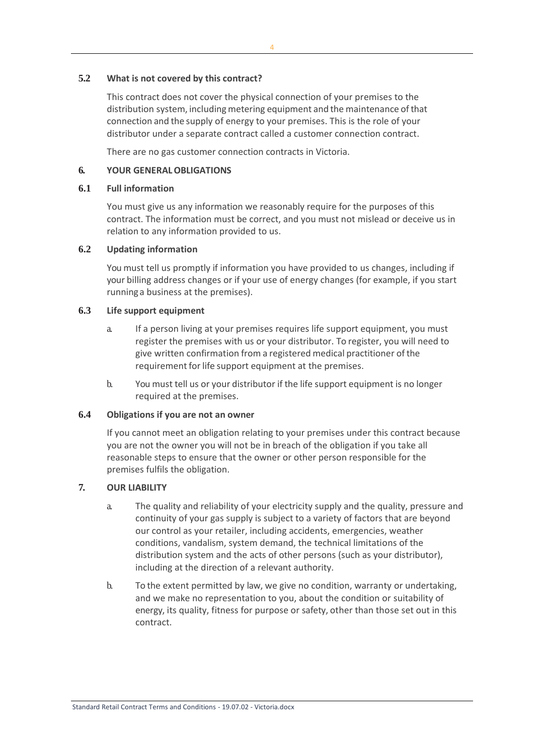### **5.2 What is not covered by this contract?**

This contract does not cover the physical connection of your premises to the distribution system, including metering equipment and the maintenance of that connection and the supply of energy to your premises. This is the role of your distributor under a separate contract called a customer connection contract.

There are no gas customer connection contracts in Victoria.

#### **6. YOUR GENERALOBLIGATIONS**

### **6.1 Full information**

You must give us any information we reasonably require for the purposes of this contract. The information must be correct, and you must not mislead or deceive us in relation to any information provided to us.

## **6.2 Updating information**

You must tell us promptly if information you have provided to us changes, including if your billing address changes or if your use of energy changes (for example, if you start runninga business at the premises).

### **6.3 Life support equipment**

- a. If a person living at your premises requires life support equipment, you must register the premises with us or your distributor. To register, you will need to give written confirmation from a registered medical practitioner of the requirement for life support equipment at the premises.
- b. You must tell us or your distributor if the life support equipment is no longer required at the premises.

## **6.4 Obligations if you are not an owner**

If you cannot meet an obligation relating to your premises under this contract because you are not the owner you will not be in breach of the obligation if you take all reasonable steps to ensure that the owner or other person responsible for the premises fulfils the obligation.

## **7. OUR LIABILITY**

- a. The quality and reliability of your electricity supply and the quality, pressure and continuity of your gas supply is subject to a variety of factors that are beyond our control as your retailer, including accidents, emergencies, weather conditions, vandalism, system demand, the technical limitations of the distribution system and the acts of other persons (such as your distributor), including at the direction of a relevant authority.
- b. To the extent permitted by law, we give no condition, warranty or undertaking, and we make no representation to you, about the condition or suitability of energy, its quality, fitness for purpose or safety, other than those set out in this contract.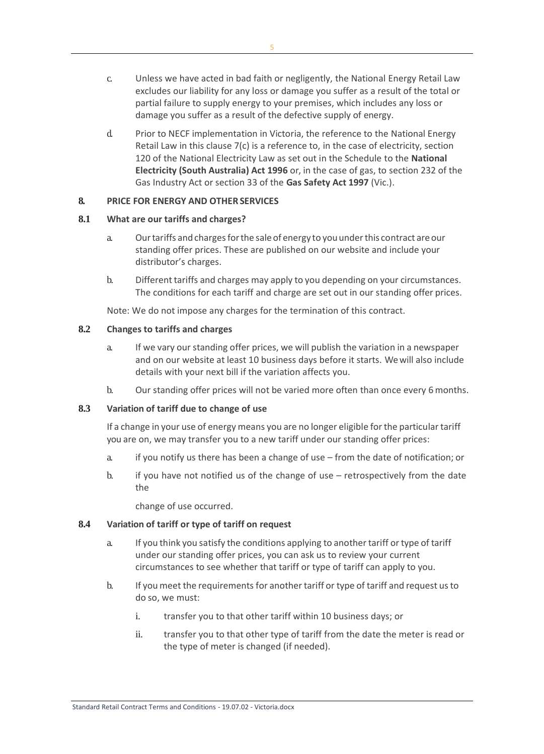- c. Unless we have acted in bad faith or negligently, the National Energy Retail Law excludes our liability for any loss or damage you suffer as a result of the total or partial failure to supply energy to your premises, which includes any loss or damage you suffer as a result of the defective supply of energy.
- d. Prior to NECF implementation in Victoria, the reference to the National Energy Retail Law in this clause 7(c) is a reference to, in the case of electricity, section 120 of the National Electricity Law as set out in the Schedule to the **National Electricity (South Australia) Act 1996** or, in the case of gas, to section 232 of the Gas Industry Act or section 33 of the **Gas Safety Act 1997** (Vic.).

## **8. PRICE FOR ENERGY AND OTHER SERVICES**

#### **8.1 What are our tariffs and charges?**

- a. Ourtariffs andchargesforthe saleof energy to youunderthis contract areour standing offer prices. These are published on our website and include your distributor's charges.
- b. Different tariffs and charges may apply to you depending on your circumstances. The conditions for each tariff and charge are set out in our standing offer prices.

Note: We do not impose any charges for the termination of this contract.

### **8.2 Changes to tariffs and charges**

- a. If we vary our standing offer prices, we will publish the variation in a newspaper and on our website at least 10 business days before it starts. We will also include details with your next bill if the variation affects you.
- b. Our standing offer prices will not be varied more often than once every 6 months.

#### **8.3 Variation of tariff due to change of use**

If a change in your use of energy means you are no longer eligible forthe particular tariff you are on, we may transfer you to a new tariff under our standing offer prices:

- a. if you notify us there has been a change of use from the date of notification; or
- b. if you have not notified us of the change of use retrospectively from the date the

change of use occurred.

#### **8.4 Variation of tariff or type of tariff on request**

- a. If you think you satisfy the conditions applying to another tariff or type of tariff under our standing offer prices, you can ask us to review your current circumstances to see whether that tariff or type of tariff can apply to you.
- b. If you meet the requirements for another tariff or type of tariff and request us to do so, we must:
	- i. transfer you to that other tariff within 10 business days; or
	- ii. transfer you to that other type of tariff from the date the meter is read or the type of meter is changed (if needed).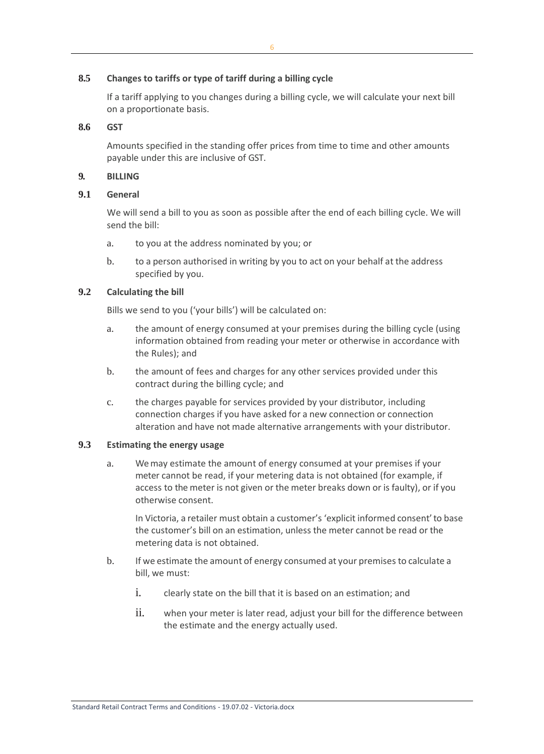#### **8.5 Changes to tariffs or type of tariff during a billing cycle**

If a tariff applying to you changes during a billing cycle, we will calculate your next bill on a proportionate basis.

#### **8.6 GST**

Amounts specified in the standing offer prices from time to time and other amounts payable under this are inclusive of GST.

#### **9. BILLING**

#### **9.1 General**

We will send a bill to you as soon as possible after the end of each billing cycle. We will send the bill:

- a. to you at the address nominated by you; or
- b. to a person authorised in writing by you to act on your behalf at the address specified by you.

### **9.2 Calculating the bill**

Bills we send to you ('your bills') will be calculated on:

- a. the amount of energy consumed at your premises during the billing cycle (using information obtained from reading your meter or otherwise in accordance with the Rules); and
- b. the amount of fees and charges for any other services provided under this contract during the billing cycle; and
- c. the charges payable for services provided by your distributor, including connection charges if you have asked for a new connection or connection alteration and have not made alternative arrangements with your distributor.

#### **9.3 Estimating the energy usage**

a. We may estimate the amount of energy consumed at your premises if your meter cannot be read, if your metering data is not obtained (for example, if access to the meter is not given or the meter breaks down or is faulty), or if you otherwise consent.

In Victoria, a retailer must obtain a customer's 'explicit informed consent'to base the customer's bill on an estimation, unless the meter cannot be read or the metering data is not obtained.

- b. If we estimate the amount of energy consumed at your premises to calculate a bill, we must:
	- i. clearly state on the bill that it is based on an estimation; and
	- ii. when your meter is later read, adjust your bill for the difference between the estimate and the energy actually used.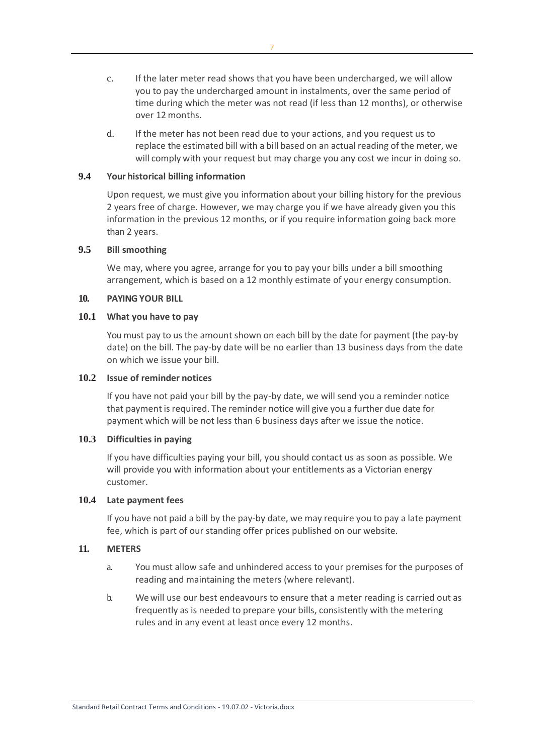- c. If the later meter read shows that you have been undercharged, we will allow you to pay the undercharged amount in instalments, over the same period of time during which the meter was not read (if less than 12 months), or otherwise over 12 months.
- d. If the meter has not been read due to your actions, and you request us to replace the estimated bill with a bill based on an actual reading of the meter, we will comply with your request but may charge you any cost we incur in doing so.

#### **9.4 Your historical billing information**

Upon request, we must give you information about your billing history for the previous 2 years free of charge. However, we may charge you if we have already given you this information in the previous 12 months, or if you require information going back more than 2 years.

### **9.5 Bill smoothing**

We may, where you agree, arrange for you to pay your bills under a bill smoothing arrangement, which is based on a 12 monthly estimate of your energy consumption.

#### **10. PAYING YOUR BILL**

### **10.1 What you have to pay**

You must pay to us the amount shown on each bill by the date for payment (the pay-by date) on the bill. The pay-by date will be no earlier than 13 business days from the date on which we issue your bill.

#### **10.2 Issue of reminder notices**

If you have not paid your bill by the pay-by date, we will send you a reminder notice that payment isrequired. The reminder notice will give you a further due date for payment which will be not less than 6 business days after we issue the notice.

### **10.3 Difficulties in paying**

If you have difficulties paying your bill, you should contact us as soon as possible. We will provide you with information about your entitlements as a Victorian energy customer.

#### **10.4 Late payment fees**

If you have not paid a bill by the pay-by date, we may require you to pay a late payment fee, which is part of our standing offer prices published on our website.

### **11. METERS**

- a. You must allow safe and unhindered access to your premises for the purposes of reading and maintaining the meters (where relevant).
- b. We will use our best endeavours to ensure that a meter reading is carried out as frequently as is needed to prepare your bills, consistently with the metering rules and in any event at least once every 12 months.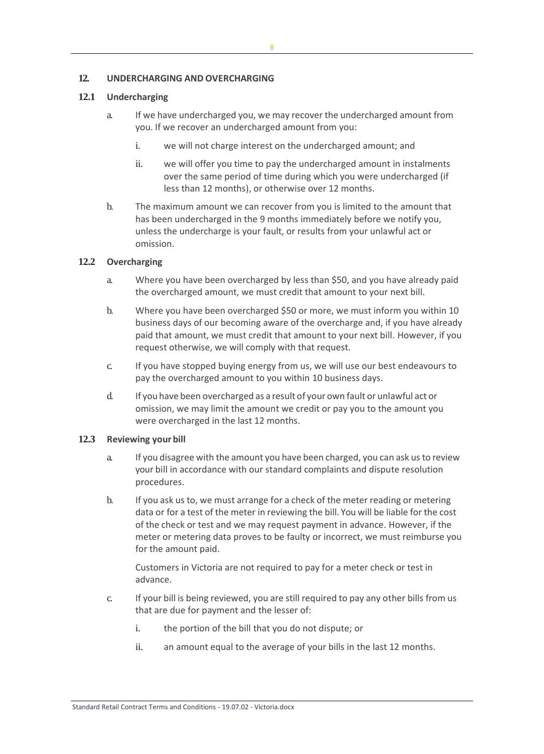## **12. UNDERCHARGING AND OVERCHARGING**

## **12.1 Undercharging**

- a. If we have undercharged you, we may recover the undercharged amount from you. If we recover an undercharged amount from you:
	- i. we will not charge interest on the undercharged amount; and
	- ii. we will offer you time to pay the undercharged amount in instalments over the same period of time during which you were undercharged (if less than 12 months), or otherwise over 12 months.
- b. The maximum amount we can recover from you is limited to the amount that has been undercharged in the 9 months immediately before we notify you, unless the undercharge is your fault, or results from your unlawful act or omission.

## **12.2 Overcharging**

- a. Where you have been overcharged by less than \$50, and you have already paid the overcharged amount, we must credit that amount to your next bill.
- b. Where you have been overcharged \$50 or more, we must inform you within 10 business days of our becoming aware of the overcharge and, if you have already paid that amount, we must credit that amount to your next bill. However, if you request otherwise, we will comply with that request.
- c. If you have stopped buying energy from us, we will use our best endeavours to pay the overcharged amount to you within 10 business days.
- d. If you have been overcharged as a result of your own fault or unlawful act or omission, we may limit the amount we credit or pay you to the amount you were overcharged in the last 12 months.

### **12.3 Reviewing your bill**

- a. If you disagree with the amount you have been charged, you can ask usto review your bill in accordance with our standard complaints and dispute resolution procedures.
- b. If you ask us to, we must arrange for a check of the meter reading or metering data or for a test of the meter in reviewing the bill. You will be liable for the cost of the check or test and we may request payment in advance. However, if the meter or metering data proves to be faulty or incorrect, we must reimburse you for the amount paid.

Customers in Victoria are not required to pay for a meter check or test in advance.

- c. If your bill is being reviewed, you are still required to pay any other bills from us that are due for payment and the lesser of:
	- i. the portion of the bill that you do not dispute; or
	- ii. an amount equal to the average of your bills in the last 12 months.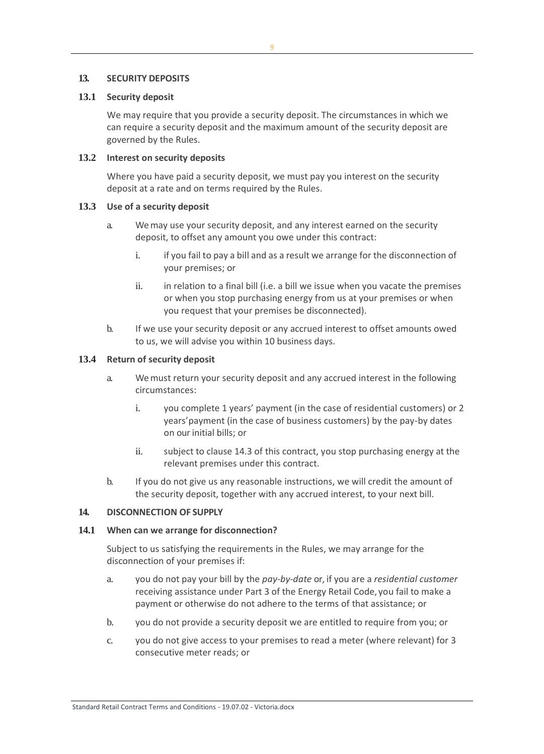### **13. SECURITY DEPOSITS**

### **13.1 Security deposit**

We may require that you provide a security deposit. The circumstances in which we can require a security deposit and the maximum amount of the security deposit are governed by the Rules.

#### **13.2 Interest on security deposits**

Where you have paid a security deposit, we must pay you interest on the security deposit at a rate and on terms required by the Rules.

### **13.3 Use of a security deposit**

- a. We may use your security deposit, and any interest earned on the security deposit, to offset any amount you owe under this contract:
	- i. if you fail to pay a bill and as a result we arrange for the disconnection of your premises; or
	- ii. in relation to a final bill (i.e. a bill we issue when you vacate the premises or when you stop purchasing energy from us at your premises or when you request that your premises be disconnected).
- b. If we use your security deposit or any accrued interest to offset amounts owed to us, we will advise you within 10 business days.

### **13.4 Return of security deposit**

- a. We must return your security deposit and any accrued interest in the following circumstances:
	- i. you complete 1 years' payment (in the case of residential customers) or 2 years'payment (in the case of business customers) by the pay-by dates on our initial bills; or
	- ii. subject to clause 14.3 of this contract, you stop purchasing energy at the relevant premises under this contract.
- b. If you do not give us any reasonable instructions, we will credit the amount of the security deposit, together with any accrued interest, to your next bill.

#### **14. DISCONNECTION OF SUPPLY**

#### **14.1 When can we arrange for disconnection?**

Subject to us satisfying the requirements in the Rules, we may arrange for the disconnection of your premises if:

- a. you do not pay your bill by the *pay-by-date* or, if you are a *residential customer*  receiving assistance under Part 3 of the Energy Retail Code, you fail to make a payment or otherwise do not adhere to the terms of that assistance; or
- b. you do not provide a security deposit we are entitled to require from you; or
- c. you do not give access to your premises to read a meter (where relevant) for 3 consecutive meter reads; or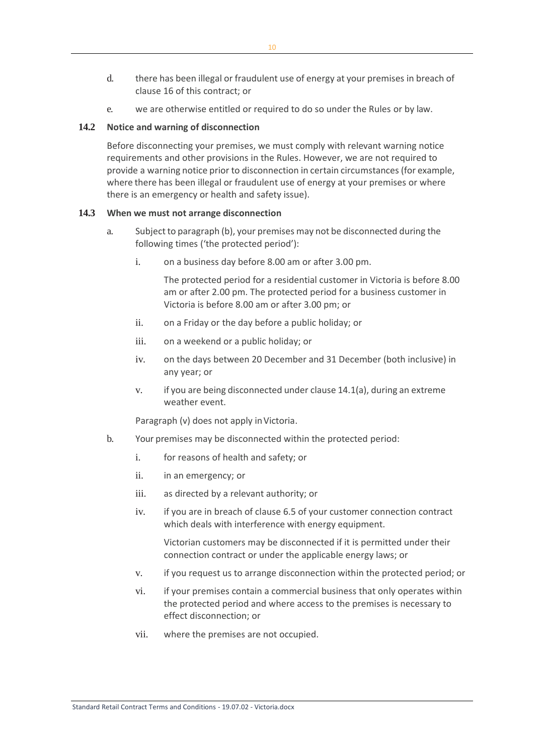- d. there has been illegal or fraudulent use of energy at your premises in breach of clause 16 of this contract; or
- e. we are otherwise entitled or required to do so under the Rules or by law.

#### **14.2 Notice and warning of disconnection**

Before disconnecting your premises, we must comply with relevant warning notice requirements and other provisions in the Rules. However, we are not required to provide a warning notice prior to disconnection in certain circumstances(for example, where there has been illegal or fraudulent use of energy at your premises or where there is an emergency or health and safety issue).

### **14.3 When we must not arrange disconnection**

- a. Subject to paragraph (b), your premises may not be disconnected during the following times ('the protected period'):
	- i. on a business day before 8.00 am or after 3.00 pm.

The protected period for a residential customer in Victoria is before 8.00 am or after 2.00 pm. The protected period for a business customer in Victoria is before 8.00 am or after 3.00 pm; or

- ii. on a Friday or the day before a public holiday; or
- iii. on a weekend or a public holiday; or
- iv. on the days between 20 December and 31 December (both inclusive) in any year; or
- v. if you are being disconnected under clause 14.1(a), during an extreme weather event.

Paragraph (v) does not apply inVictoria.

- b. Your premises may be disconnected within the protected period:
	- i. for reasons of health and safety; or
	- ii. in an emergency; or
	- iii. as directed by a relevant authority; or
	- iv. if you are in breach of clause 6.5 of your customer connection contract which deals with interference with energy equipment.

Victorian customers may be disconnected if it is permitted under their connection contract or under the applicable energy laws; or

- v. if you request us to arrange disconnection within the protected period; or
- vi. if your premises contain a commercial business that only operates within the protected period and where access to the premises is necessary to effect disconnection; or
- vii. where the premises are not occupied.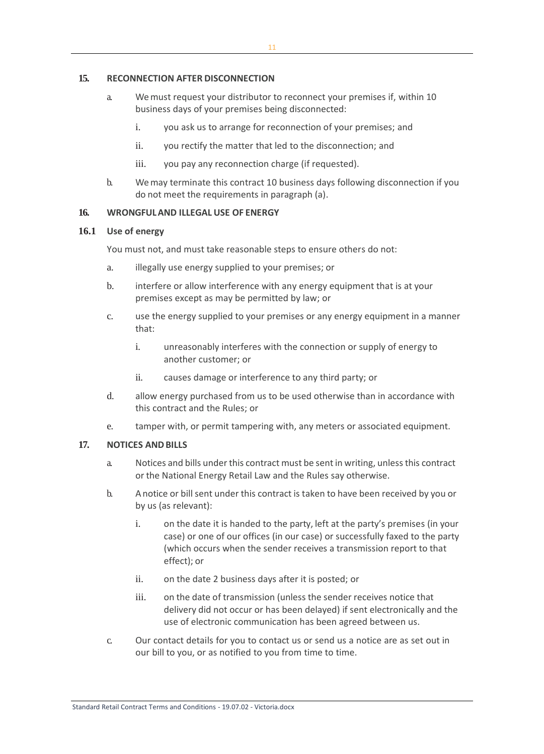#### **15. RECONNECTION AFTER DISCONNECTION**

- a. We must request your distributor to reconnect your premises if, within 10 business days of your premises being disconnected:
	- i. you ask us to arrange for reconnection of your premises; and
	- ii. you rectify the matter that led to the disconnection; and
	- iii. you pay any reconnection charge (if requested).
- b. We may terminate this contract 10 business days following disconnection if you do not meet the requirements in paragraph (a).

### **16. WRONGFULAND ILLEGAL USE OF ENERGY**

#### **16.1 Use of energy**

You must not, and must take reasonable steps to ensure others do not:

- a. illegally use energy supplied to your premises; or
- b. interfere or allow interference with any energy equipment that is at your premises except as may be permitted by law; or
- c. use the energy supplied to your premises or any energy equipment in a manner that:
	- i. unreasonably interferes with the connection or supply of energy to another customer; or
	- ii. causes damage or interference to any third party; or
- d. allow energy purchased from us to be used otherwise than in accordance with this contract and the Rules; or
- e. tamper with, or permit tampering with, any meters or associated equipment.

#### **17. NOTICES ANDBILLS**

- a. Notices and bills under this contract must be sent in writing, unlessthis contract or the National Energy Retail Law and the Rules say otherwise.
- b. Anotice or bill sent under this contract is taken to have been received by you or by us (as relevant):
	- i. on the date it is handed to the party, left at the party's premises (in your case) or one of our offices (in our case) or successfully faxed to the party (which occurs when the sender receives a transmission report to that effect); or
	- ii. on the date 2 business days after it is posted; or
	- iii. on the date of transmission (unless the sender receives notice that delivery did not occur or has been delayed) if sent electronically and the use of electronic communication has been agreed between us.
- c. Our contact details for you to contact us or send us a notice are as set out in our bill to you, or as notified to you from time to time.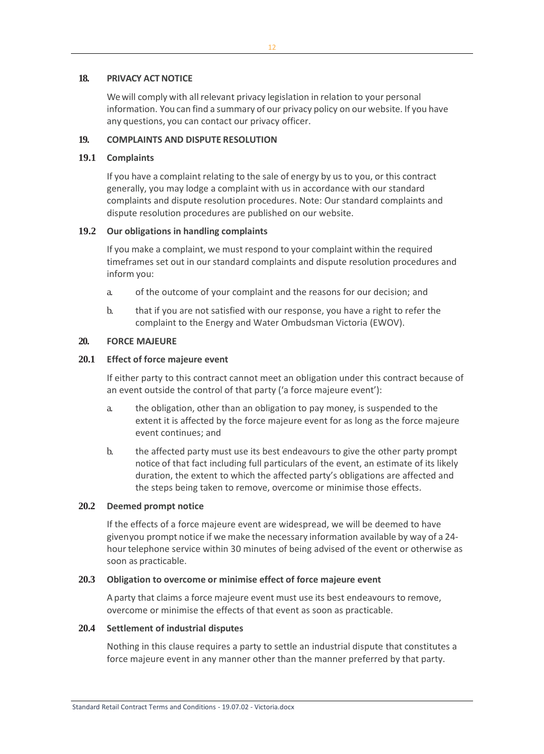#### **18. PRIVACY ACTNOTICE**

We will comply with all relevant privacy legislation in relation to your personal information. You can find a summary of our privacy policy on our website. If you have any questions, you can contact our privacy officer.

### **19. COMPLAINTS AND DISPUTE RESOLUTION**

### **19.1 Complaints**

If you have a complaint relating to the sale of energy by us to you, or this contract generally, you may lodge a complaint with us in accordance with our standard complaints and dispute resolution procedures. Note: Our standard complaints and dispute resolution procedures are published on our website.

### **19.2 Our obligations in handling complaints**

If you make a complaint, we must respond to your complaint within the required timeframes set out in our standard complaints and dispute resolution procedures and inform you:

- a. of the outcome of your complaint and the reasons for our decision; and
- b. that if you are not satisfied with our response, you have a right to refer the complaint to the Energy and Water Ombudsman Victoria (EWOV).

### **20. FORCE MAJEURE**

### **20.1 Effect of force majeure event**

If either party to this contract cannot meet an obligation under this contract because of an event outside the control of that party ('a force majeure event'):

- a. the obligation, other than an obligation to pay money, is suspended to the extent it is affected by the force majeure event for as long as the force majeure event continues; and
- b. the affected party must use its best endeavours to give the other party prompt notice of that fact including full particulars of the event, an estimate of its likely duration, the extent to which the affected party's obligations are affected and the steps being taken to remove, overcome or minimise those effects.

#### **20.2 Deemed prompt notice**

If the effects of a force majeure event are widespread, we will be deemed to have givenyou prompt notice if we make the necessary information available by way of a 24 hour telephone service within 30 minutes of being advised of the event or otherwise as soon as practicable.

#### **20.3 Obligation to overcome or minimise effect of force majeure event**

A party that claims a force majeure event must use its best endeavours to remove, overcome or minimise the effects of that event as soon as practicable.

#### **20.4 Settlement of industrial disputes**

Nothing in this clause requires a party to settle an industrial dispute that constitutes a force majeure event in any manner other than the manner preferred by that party.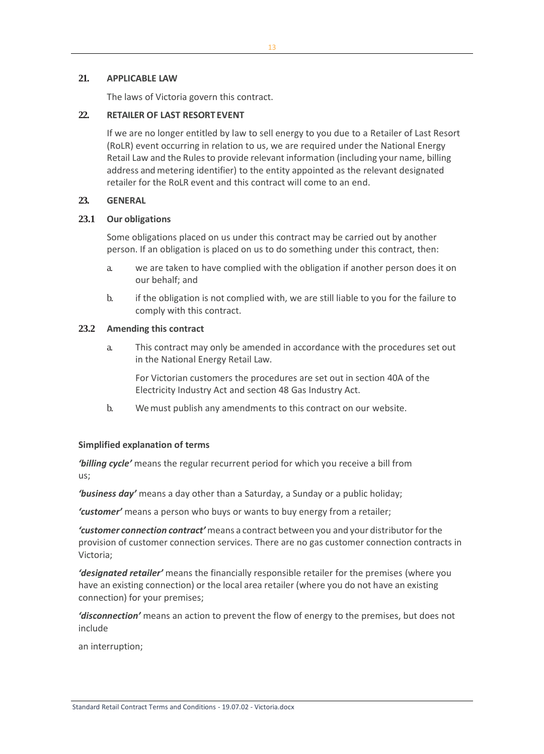### **21. APPLICABLE LAW**

The laws of Victoria govern this contract.

### **22. RETAILER OF LAST RESORT EVENT**

If we are no longer entitled by law to sell energy to you due to a Retailer of Last Resort (RoLR) event occurring in relation to us, we are required under the National Energy Retail Law and the Rules to provide relevant information (including your name, billing address and metering identifier) to the entity appointed as the relevant designated retailer for the RoLR event and this contract will come to an end.

### **23. GENERAL**

### **23.1 Our obligations**

Some obligations placed on us under this contract may be carried out by another person. If an obligation is placed on us to do something under this contract, then:

- a. we are taken to have complied with the obligation if another person does it on our behalf; and
- b. if the obligation is not complied with, we are still liable to you for the failure to comply with this contract.

#### **23.2 Amending this contract**

a. This contract may only be amended in accordance with the procedures set out in the National Energy Retail Law.

For Victorian customers the procedures are set out in section 40A of the Electricity Industry Act and section 48 Gas Industry Act.

b. We must publish any amendments to this contract on our website.

## **Simplified explanation of terms**

*'billing cycle'* means the regular recurrent period for which you receive a bill from us;

*'business day'* means a day other than a Saturday, a Sunday or a public holiday;

*'customer'* means a person who buys or wants to buy energy from a retailer;

*'customer connection contract'* means a contract between you and your distributor forthe provision of customer connection services. There are no gas customer connection contracts in Victoria;

*'designated retailer'* means the financially responsible retailer for the premises (where you have an existing connection) or the local area retailer (where you do not have an existing connection) for your premises;

*'disconnection'* means an action to prevent the flow of energy to the premises, but does not include

an interruption;